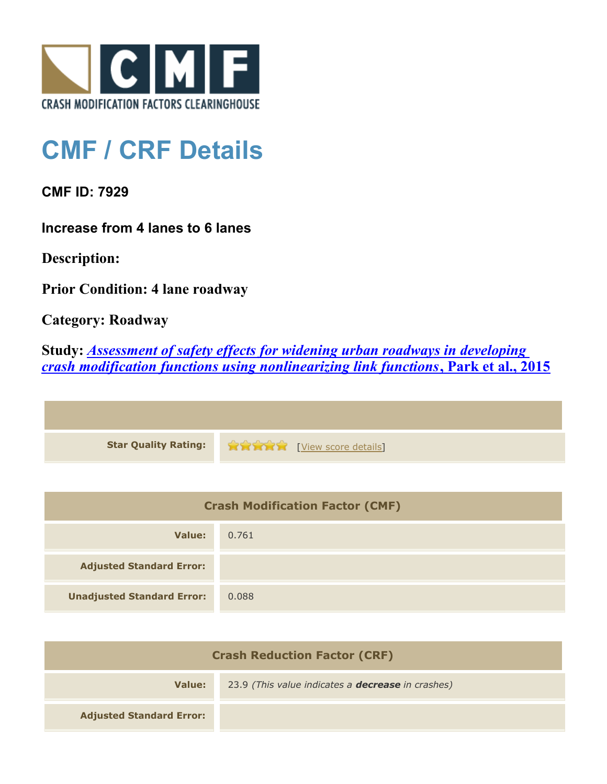

## **CMF / CRF Details**

**CMF ID: 7929**

**Increase from 4 lanes to 6 lanes**

**Description:** 

**Prior Condition: 4 lane roadway**

**Category: Roadway**

**Study:** *[Assessment of safety effects for widening urban roadways in developing](http://www.cmfclearinghouse.org/study_detail.cfm?stid=438) [crash modification functions using nonlinearizing link functions](http://www.cmfclearinghouse.org/study_detail.cfm?stid=438)***[, Park et al., 2015](http://www.cmfclearinghouse.org/study_detail.cfm?stid=438)**

| <b>Star Quality Rating:</b> | <b>THE TABLE THE TABLE IS INCORPORATION</b> |
|-----------------------------|---------------------------------------------|

| <b>Crash Modification Factor (CMF)</b> |       |
|----------------------------------------|-------|
| Value:                                 | 0.761 |
| <b>Adjusted Standard Error:</b>        |       |
| <b>Unadjusted Standard Error:</b>      | 0.088 |

| <b>Crash Reduction Factor (CRF)</b> |                                                          |
|-------------------------------------|----------------------------------------------------------|
| Value:                              | 23.9 (This value indicates a <b>decrease</b> in crashes) |
| <b>Adjusted Standard Error:</b>     |                                                          |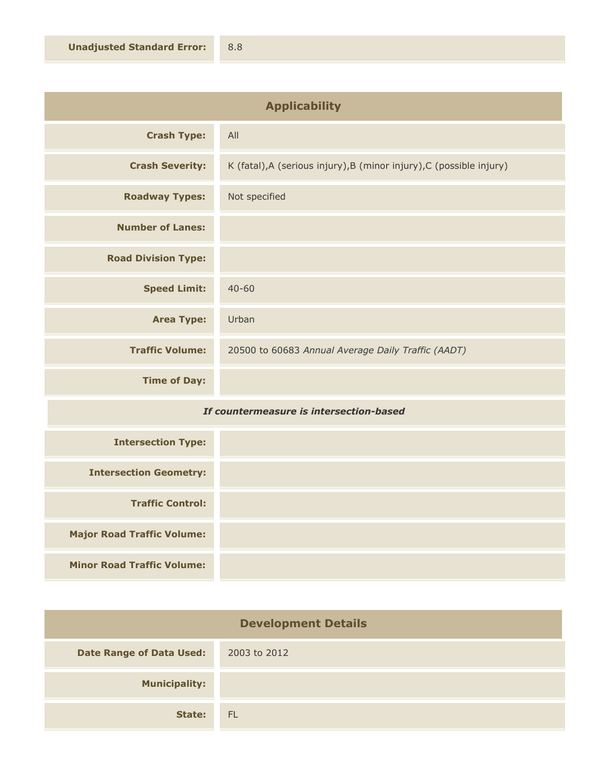| <b>Applicability</b>       |                                                                      |
|----------------------------|----------------------------------------------------------------------|
| <b>Crash Type:</b>         | All                                                                  |
| <b>Crash Severity:</b>     | K (fatal), A (serious injury), B (minor injury), C (possible injury) |
| <b>Roadway Types:</b>      | Not specified                                                        |
| <b>Number of Lanes:</b>    |                                                                      |
| <b>Road Division Type:</b> |                                                                      |
| <b>Speed Limit:</b>        | $40 - 60$                                                            |
| <b>Area Type:</b>          | Urban                                                                |
| <b>Traffic Volume:</b>     | 20500 to 60683 Annual Average Daily Traffic (AADT)                   |
| <b>Time of Day:</b>        |                                                                      |
| .<br>$-$                   |                                                                      |

## *If countermeasure is intersection-based*

| <b>Intersection Type:</b>         |  |
|-----------------------------------|--|
| <b>Intersection Geometry:</b>     |  |
| <b>Traffic Control:</b>           |  |
| <b>Major Road Traffic Volume:</b> |  |
| <b>Minor Road Traffic Volume:</b> |  |

| <b>Development Details</b>      |              |
|---------------------------------|--------------|
| <b>Date Range of Data Used:</b> | 2003 to 2012 |
| <b>Municipality:</b>            |              |
| State:                          | <b>FL</b>    |